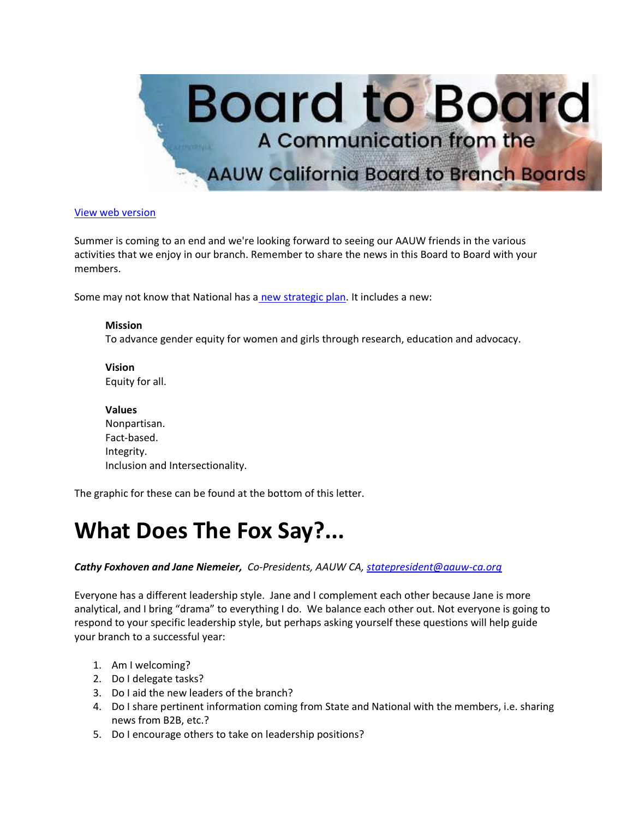

#### [View web version](https://bor.aauw-ca.org/sendy/w/YlrJ763AeyF892b51vFm0EptRw/4FDFL4S593H7oWC6rDwDxg/XuvYRaYoKLQmiSOGbGCG892Q)

Summer is coming to an end and we're looking forward to seeing our AAUW friends in the various activities that we enjoy in our branch. Remember to share the news in this Board to Board with your members.

Some may not know that National has a [new strategic plan.](https://bor.aauw-ca.org/sendy/l/YlrJ763AeyF892b51vFm0EptRw/Ysuj0iIv892bHlDmRWhdM2892Q/XuvYRaYoKLQmiSOGbGCG892Q) It includes a new:

#### **Mission**

To advance gender equity for women and girls through research, education and advocacy.

**Vision** Equity for all.

**Values** Nonpartisan. Fact-based. Integrity. Inclusion and Intersectionality.

The graphic for these can be found at the bottom of this letter.

# **What Does The Fox Say?...**

#### *Cathy Foxhoven and Jane Niemeier, Co-Presidents, AAUW CA, [statepresident@aauw-ca.org](mailto:statepresident@aauw-ca.org)*

Everyone has a different leadership style. Jane and I complement each other because Jane is more analytical, and I bring "drama" to everything I do. We balance each other out. Not everyone is going to respond to your specific leadership style, but perhaps asking yourself these questions will help guide your branch to a successful year:

- 1. Am I welcoming?
- 2. Do I delegate tasks?
- 3. Do I aid the new leaders of the branch?
- 4. Do I share pertinent information coming from State and National with the members, i.e. sharing news from B2B, etc.?
- 5. Do I encourage others to take on leadership positions?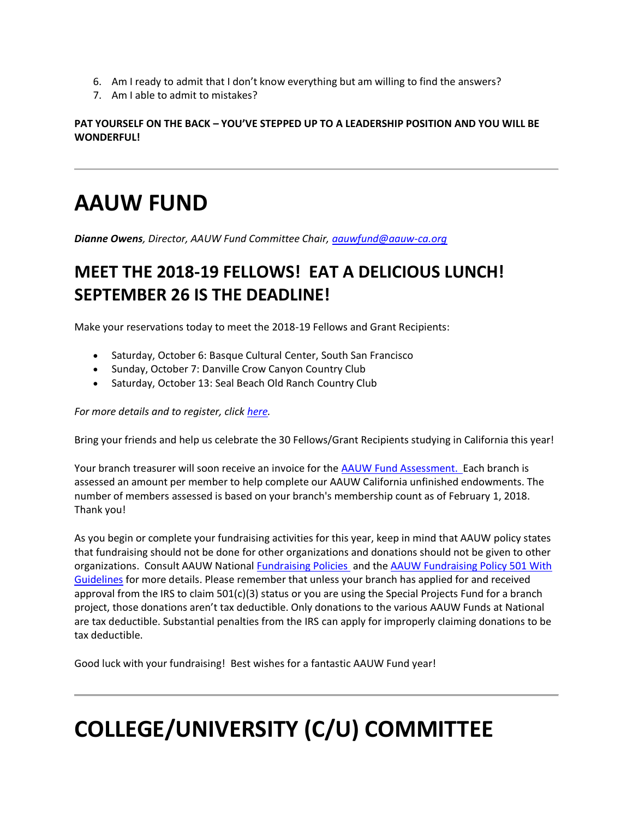- 6. Am I ready to admit that I don't know everything but am willing to find the answers?
- 7. Am I able to admit to mistakes?

**PAT YOURSELF ON THE BACK – YOU'VE STEPPED UP TO A LEADERSHIP POSITION AND YOU WILL BE WONDERFUL!**

# **AAUW FUND**

*Dianne Owens, Director, AAUW Fund Committee Chair, [aauwfund@aauw-ca.org](mailto:aauwfund@aauw-ca.org)*

### **MEET THE 2018-19 FELLOWS! EAT A DELICIOUS LUNCH! SEPTEMBER 26 IS THE DEADLINE!**

Make your reservations today to meet the 2018-19 Fellows and Grant Recipients:

- Saturday, October 6: Basque Cultural Center, South San Francisco
- Sunday, October 7: Danville Crow Canyon Country Club
- Saturday, October 13: Seal Beach Old Ranch Country Club

#### *For more details and to register, click [here.](https://bor.aauw-ca.org/sendy/l/YlrJ763AeyF892b51vFm0EptRw/dfgaPxvGJLz8aG3dBEde6A/XuvYRaYoKLQmiSOGbGCG892Q)*

Bring your friends and help us celebrate the 30 Fellows/Grant Recipients studying in California this year!

Your branch treasurer will soon receive an invoice for the [AAUW Fund Assessment. E](https://bor.aauw-ca.org/sendy/l/YlrJ763AeyF892b51vFm0EptRw/lJKehgZb8e5CrrXxz05I8Q/XuvYRaYoKLQmiSOGbGCG892Q)ach branch is assessed an amount per member to help complete our AAUW California unfinished endowments. The number of members assessed is based on your branch's membership count as of February 1, 2018. Thank you!

As you begin or complete your fundraising activities for this year, keep in mind that AAUW policy states that fundraising should not be done for other organizations and donations should not be given to other organizations. Consult AAUW National [Fundraising Policies](https://bor.aauw-ca.org/sendy/l/YlrJ763AeyF892b51vFm0EptRw/rzB892fa9M3qmrGYAUGudJHw/XuvYRaYoKLQmiSOGbGCG892Q) and the [AAUW Fundraising Policy 501 With](https://bor.aauw-ca.org/sendy/l/YlrJ763AeyF892b51vFm0EptRw/p892V892GBT7635Gy892cjWvGre60Q/XuvYRaYoKLQmiSOGbGCG892Q)  [Guidelines](https://bor.aauw-ca.org/sendy/l/YlrJ763AeyF892b51vFm0EptRw/p892V892GBT7635Gy892cjWvGre60Q/XuvYRaYoKLQmiSOGbGCG892Q) for more details. Please remember that unless your branch has applied for and received approval from the IRS to claim  $501(c)(3)$  status or you are using the Special Projects Fund for a branch project, those donations aren't tax deductible. Only donations to the various AAUW Funds at National are tax deductible. Substantial penalties from the IRS can apply for improperly claiming donations to be tax deductible.

Good luck with your fundraising! Best wishes for a fantastic AAUW Fund year!

# **COLLEGE/UNIVERSITY (C/U) COMMITTEE**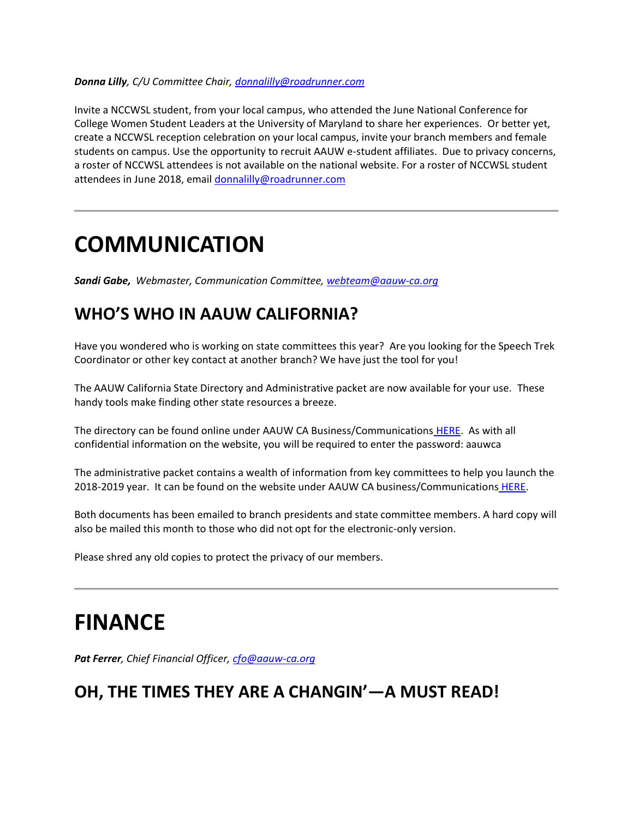#### *Donna Lilly, C/U Committee Chair, [donnalilly@roadrunner.com](mailto:donnalilly@roadrunner.com)*

Invite a NCCWSL student, from your local campus, who attended the June National Conference for College Women Student Leaders at the University of Maryland to share her experiences. Or better yet, create a NCCWSL reception celebration on your local campus, invite your branch members and female students on campus. Use the opportunity to recruit AAUW e-student affiliates. Due to privacy concerns, a roster of NCCWSL attendees is not available on the national website. For a roster of NCCWSL student attendees in June 2018, email [donnalilly@roadrunner.com](mailto:donnalilly@roadrunner.com)

### **COMMUNICATION**

*Sandi Gabe, Webmaster, Communication Committee, [webteam@aauw-ca.org](mailto:webteam@aauw-ca.org)*

#### **WHO'S WHO IN AAUW CALIFORNIA?**

Have you wondered who is working on state committees this year? Are you looking for the Speech Trek Coordinator or other key contact at another branch? We have just the tool for you!

The AAUW California State Directory and Administrative packet are now available for your use. These handy tools make finding other state resources a breeze.

The directory can be found online under AAUW CA Business/Communications [HERE.](https://bor.aauw-ca.org/sendy/l/YlrJ763AeyF892b51vFm0EptRw/fUDOMbVb763M763Jrl2orKZSxw/XuvYRaYoKLQmiSOGbGCG892Q) As with all confidential information on the website, you will be required to enter the password: aauwca

The administrative packet contains a wealth of information from key committees to help you launch the 2018-2019 year. It can be found on the website under AAUW CA business/Communications [HERE.](https://bor.aauw-ca.org/sendy/l/YlrJ763AeyF892b51vFm0EptRw/fUDOMbVb763M763Jrl2orKZSxw/XuvYRaYoKLQmiSOGbGCG892Q)

Both documents has been emailed to branch presidents and state committee members. A hard copy will also be mailed this month to those who did not opt for the electronic-only version.

Please shred any old copies to protect the privacy of our members.

## **FINANCE**

*Pat Ferrer, Chief Financial Officer, [cfo@aauw-ca.org](mailto:cfo@aauw-ca.org)*

#### **OH, THE TIMES THEY ARE A CHANGIN'—A MUST READ!**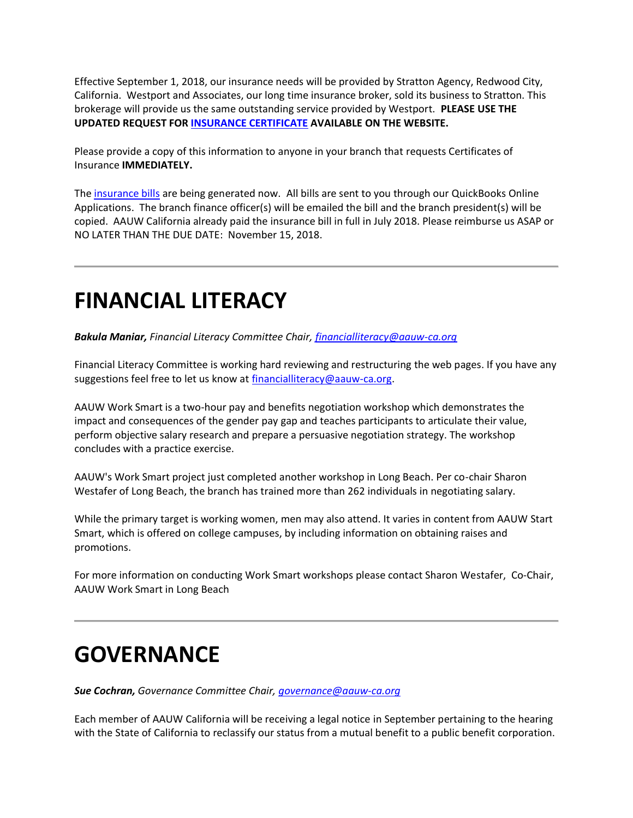Effective September 1, 2018, our insurance needs will be provided by Stratton Agency, Redwood City, California. Westport and Associates, our long time insurance broker, sold its business to Stratton. This brokerage will provide us the same outstanding service provided by Westport. **PLEASE USE THE UPDATED REQUEST FOR [INSURANCE CERTIFICATE](https://bor.aauw-ca.org/sendy/l/YlrJ763AeyF892b51vFm0EptRw/lJKehgZb8e5CrrXxz05I8Q/XuvYRaYoKLQmiSOGbGCG892Q) AVAILABLE ON THE WEBSITE.**

Please provide a copy of this information to anyone in your branch that requests Certificates of Insurance **IMMEDIATELY.**

The [insurance bills](https://bor.aauw-ca.org/sendy/l/YlrJ763AeyF892b51vFm0EptRw/lJKehgZb8e5CrrXxz05I8Q/XuvYRaYoKLQmiSOGbGCG892Q) are being generated now. All bills are sent to you through our QuickBooks Online Applications. The branch finance officer(s) will be emailed the bill and the branch president(s) will be copied. AAUW California already paid the insurance bill in full in July 2018. Please reimburse us ASAP or NO LATER THAN THE DUE DATE: November 15, 2018.

## **FINANCIAL LITERACY**

*Bakula Maniar, Financial Literacy Committee Chair, [financialliteracy@aauw-ca.org](mailto:financialliteracy@aauw-ca.org)*

Financial Literacy Committee is working hard reviewing and restructuring the web pages. If you have any suggestions feel free to let us know at [financialliteracy@aauw-ca.org.](mailto:financialliteracy@aauw-ca.org)

AAUW Work Smart is a two-hour pay and benefits negotiation workshop which demonstrates the impact and consequences of the gender pay gap and teaches participants to articulate their value, perform objective salary research and prepare a persuasive negotiation strategy. The workshop concludes with a practice exercise.

AAUW's Work Smart project just completed another workshop in Long Beach. Per co-chair Sharon Westafer of Long Beach, the branch has trained more than 262 individuals in negotiating salary.

While the primary target is working women, men may also attend. It varies in content from AAUW Start Smart, which is offered on college campuses, by including information on obtaining raises and promotions.

For more information on conducting Work Smart workshops please contact Sharon Westafer, Co-Chair, AAUW Work Smart in Long Beach

# **GOVERNANCE**

*Sue Cochran, Governance Committee Chair, [governance@aauw-ca.org](mailto:governance@aauw-ca.org)*

Each member of AAUW California will be receiving a legal notice in September pertaining to the hearing with the State of California to reclassify our status from a mutual benefit to a public benefit corporation.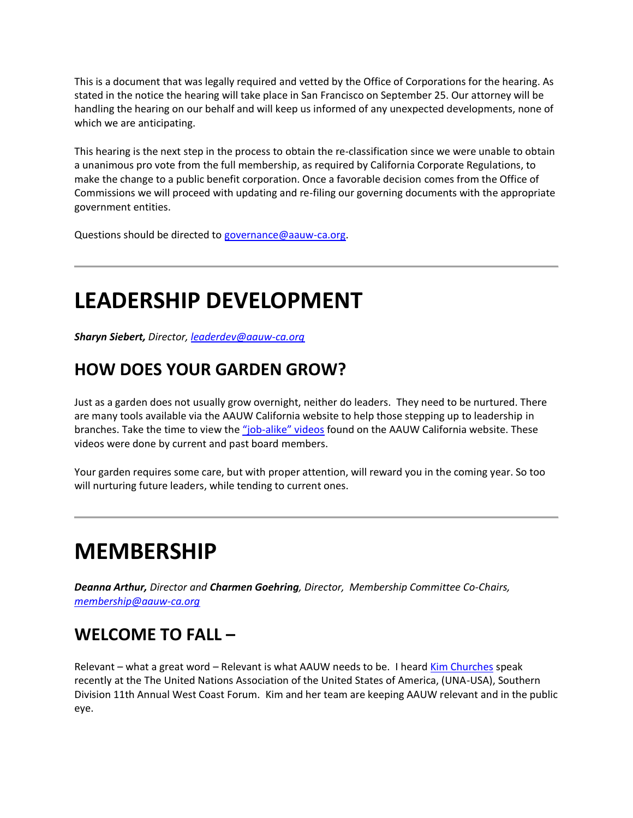This is a document that was legally required and vetted by the Office of Corporations for the hearing. As stated in the notice the hearing will take place in San Francisco on September 25. Our attorney will be handling the hearing on our behalf and will keep us informed of any unexpected developments, none of which we are anticipating.

This hearing is the next step in the process to obtain the re-classification since we were unable to obtain a unanimous pro vote from the full membership, as required by California Corporate Regulations, to make the change to a public benefit corporation. Once a favorable decision comes from the Office of Commissions we will proceed with updating and re-filing our governing documents with the appropriate government entities.

Questions should be directed to [governance@aauw-ca.org.](mailto:governance@aauw-ca.org)

# **LEADERSHIP DEVELOPMENT**

*Sharyn Siebert, Director[, leaderdev@aauw-ca.org](mailto:leaderdev@aauw-ca.org)*

#### **HOW DOES YOUR GARDEN GROW?**

Just as a garden does not usually grow overnight, neither do leaders. They need to be nurtured. There are many tools available via the AAUW California website to help those stepping up to leadership in branches. Take the time to view the "job-[alike" videos](https://bor.aauw-ca.org/sendy/l/YlrJ763AeyF892b51vFm0EptRw/6Vly16GQpoxdr33ZHi2zOw/XuvYRaYoKLQmiSOGbGCG892Q) found on the AAUW California website. These videos were done by current and past board members.

Your garden requires some care, but with proper attention, will reward you in the coming year. So too will nurturing future leaders, while tending to current ones.

## **MEMBERSHIP**

*Deanna Arthur, Director and Charmen Goehring, Director, Membership Committee Co-Chairs, [membership@aauw-ca.org](mailto:membership@aauw-ca.org)*

#### **WELCOME TO FALL –**

Relevant – what a great word – Relevant is what AAUW needs to be. I heard [Kim Churches](https://bor.aauw-ca.org/sendy/l/YlrJ763AeyF892b51vFm0EptRw/k2PBpt2fma1Msxh13fl7Xw/XuvYRaYoKLQmiSOGbGCG892Q) speak recently at the The United Nations Association of the United States of America, (UNA-USA), Southern Division 11th Annual West Coast Forum. Kim and her team are keeping AAUW relevant and in the public eye.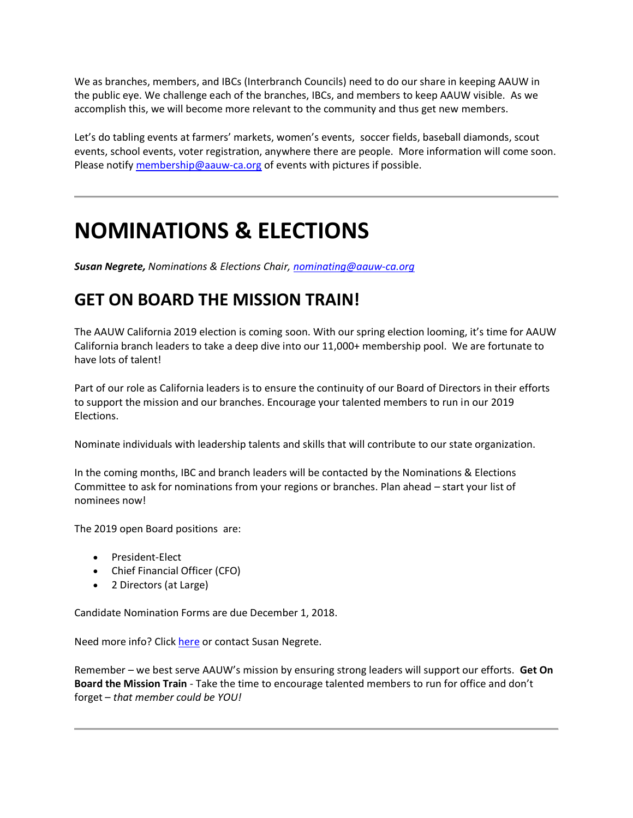We as branches, members, and IBCs (Interbranch Councils) need to do our share in keeping AAUW in the public eye. We challenge each of the branches, IBCs, and members to keep AAUW visible. As we accomplish this, we will become more relevant to the community and thus get new members.

Let's do tabling events at farmers' markets, women's events, soccer fields, baseball diamonds, scout events, school events, voter registration, anywhere there are people. More information will come soon. Please notify [membership@aauw-ca.org](mailto:membership@aauw-ca.org) of events with pictures if possible.

# **NOMINATIONS & ELECTIONS**

*Susan Negrete, Nominations & Elections Chair[, nominating@aauw-ca.org](mailto:nominating@aauw-ca.org)*

#### **GET ON BOARD THE MISSION TRAIN!**

The AAUW California 2019 election is coming soon. With our spring election looming, it's time for AAUW California branch leaders to take a deep dive into our 11,000+ membership pool. We are fortunate to have lots of talent!

Part of our role as California leaders is to ensure the continuity of our Board of Directors in their efforts to support the mission and our branches. Encourage your talented members to run in our 2019 Elections.

Nominate individuals with leadership talents and skills that will contribute to our state organization.

In the coming months, IBC and branch leaders will be contacted by the Nominations & Elections Committee to ask for nominations from your regions or branches. Plan ahead – start your list of nominees now!

The 2019 open Board positions are:

- President-Elect
- Chief Financial Officer (CFO)
- 2 Directors (at Large)

Candidate Nomination Forms are due December 1, 2018.

Need more info? Click [here](https://bor.aauw-ca.org/sendy/l/YlrJ763AeyF892b51vFm0EptRw/EueJ6a4FQkg3b6IsdJRh763A/XuvYRaYoKLQmiSOGbGCG892Q) or contact Susan Negrete.

Remember – we best serve AAUW's mission by ensuring strong leaders will support our efforts. **Get On Board the Mission Train** - Take the time to encourage talented members to run for office and don't forget – *that member could be YOU!*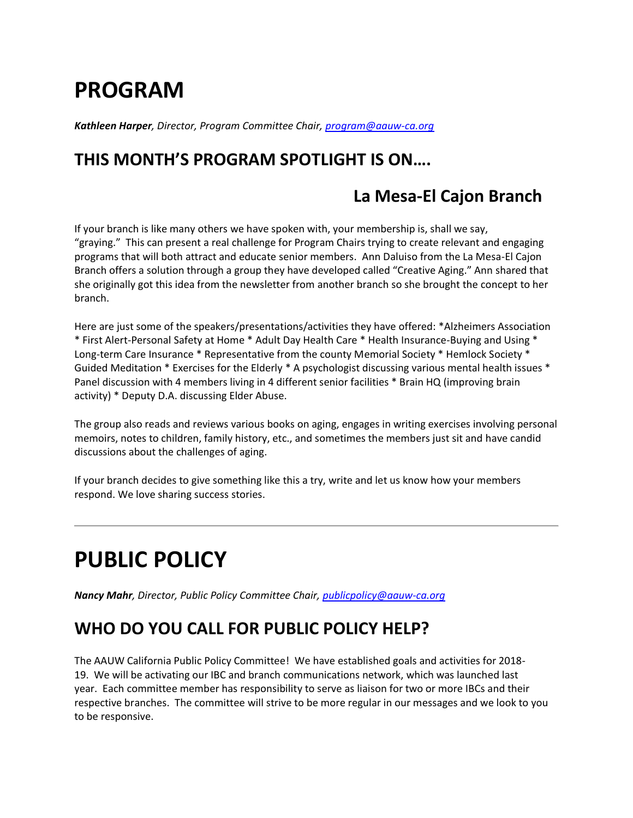# **PROGRAM**

*Kathleen Harper, Director, Program Committee Chair, [program@aauw-ca.org](mailto:program@aauw-ca.org)*

### **THIS MONTH'S PROGRAM SPOTLIGHT IS ON….**

#### **La Mesa-El Cajon Branch**

If your branch is like many others we have spoken with, your membership is, shall we say, "graying." This can present a real challenge for Program Chairs trying to create relevant and engaging programs that will both attract and educate senior members. Ann Daluiso from the La Mesa-El Cajon Branch offers a solution through a group they have developed called "Creative Aging." Ann shared that she originally got this idea from the newsletter from another branch so she brought the concept to her branch.

Here are just some of the speakers/presentations/activities they have offered: \*Alzheimers Association \* First Alert-Personal Safety at Home \* Adult Day Health Care \* Health Insurance-Buying and Using \* Long-term Care Insurance \* Representative from the county Memorial Society \* Hemlock Society \* Guided Meditation \* Exercises for the Elderly \* A psychologist discussing various mental health issues \* Panel discussion with 4 members living in 4 different senior facilities \* Brain HQ (improving brain activity) \* Deputy D.A. discussing Elder Abuse.

The group also reads and reviews various books on aging, engages in writing exercises involving personal memoirs, notes to children, family history, etc., and sometimes the members just sit and have candid discussions about the challenges of aging.

If your branch decides to give something like this a try, write and let us know how your members respond. We love sharing success stories.

# **PUBLIC POLICY**

*Nancy Mahr, Director, Public Policy Committee Chair, [publicpolicy@aauw-ca.org](mailto:PublicPolicy@aauw-ca.org)*

#### **WHO DO YOU CALL FOR PUBLIC POLICY HELP?**

The AAUW California Public Policy Committee! We have established goals and activities for 2018- 19. We will be activating our IBC and branch communications network, which was launched last year. Each committee member has responsibility to serve as liaison for two or more IBCs and their respective branches. The committee will strive to be more regular in our messages and we look to you to be responsive.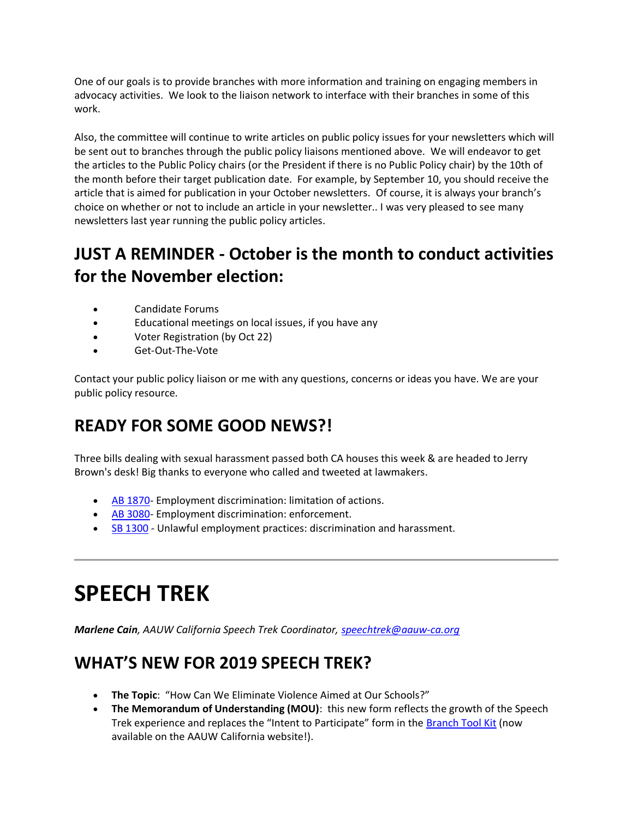One of our goals is to provide branches with more information and training on engaging members in advocacy activities. We look to the liaison network to interface with their branches in some of this work.

Also, the committee will continue to write articles on public policy issues for your newsletters which will be sent out to branches through the public policy liaisons mentioned above. We will endeavor to get the articles to the Public Policy chairs (or the President if there is no Public Policy chair) by the 10th of the month before their target publication date. For example, by September 10, you should receive the article that is aimed for publication in your October newsletters. Of course, it is always your branch's choice on whether or not to include an article in your newsletter.. I was very pleased to see many newsletters last year running the public policy articles.

### **JUST A REMINDER - October is the month to conduct activities for the November election:**

- Candidate Forums
- Educational meetings on local issues, if you have any
- Voter Registration (by Oct 22)
- Get-Out-The-Vote

Contact your public policy liaison or me with any questions, concerns or ideas you have. We are your public policy resource.

### **READY FOR SOME GOOD NEWS?!**

Three bills dealing with sexual harassment passed both CA houses this week & are headed to Jerry Brown's desk! Big thanks to everyone who called and tweeted at lawmakers.

- [AB 1870-](https://bor.aauw-ca.org/sendy/l/YlrJ763AeyF892b51vFm0EptRw/Qsa6ChFBGqwOTN0VFf7637Mw/XuvYRaYoKLQmiSOGbGCG892Q) Employment discrimination: limitation of actions.
- [AB 3080-](https://bor.aauw-ca.org/sendy/l/YlrJ763AeyF892b51vFm0EptRw/rTV8ZrDbVXALx3xqQf5wfQ/XuvYRaYoKLQmiSOGbGCG892Q) Employment discrimination: enforcement.
- [SB 1300](https://bor.aauw-ca.org/sendy/l/YlrJ763AeyF892b51vFm0EptRw/Xt1xEd763NrGwArUkvKUp0ag/XuvYRaYoKLQmiSOGbGCG892Q) Unlawful employment practices: discrimination and harassment.

# **SPEECH TREK**

*Marlene Cain, AAUW California Speech Trek Coordinator, [speechtrek@aauw-ca.org](mailto:speechtrek@aauw-ca.org)*

### **WHAT'S NEW FOR 2019 SPEECH TREK?**

- **The Topic**: "How Can We Eliminate Violence Aimed at Our Schools?"
- **The Memorandum of Understanding (MOU)**: this new form reflects the growth of the Speech Trek experience and replaces the "Intent to Participate" form in the [Branch Tool Kit](https://bor.aauw-ca.org/sendy/l/YlrJ763AeyF892b51vFm0EptRw/6Fz9LjOCHMX0KLVgnE9zkQ/XuvYRaYoKLQmiSOGbGCG892Q) (now available on the AAUW California website!).